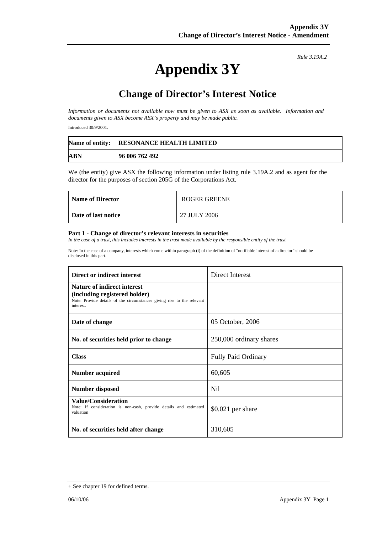# **Appendix 3Y**

*Rule 3.19A.2*

## **Change of Director's Interest Notice**

*Information or documents not available now must be given to ASX as soon as available. Information and documents given to ASX become ASX's property and may be made public.* 

Introduced 30/9/2001.

|            | Name of entity: RESONANCE HEALTH LIMITED |
|------------|------------------------------------------|
| <b>ABN</b> | 96 006 762 492                           |

We (the entity) give ASX the following information under listing rule 3.19A.2 and as agent for the director for the purposes of section 205G of the Corporations Act.

| <b>Name of Director</b> | ROGER GREENE |
|-------------------------|--------------|
| Date of last notice     | 27 JULY 2006 |

#### **Part 1 - Change of director's relevant interests in securities**

In the case of a trust, this includes interests in the trust made available by the responsible entity of the trust

Note: In the case of a company, interests which come within paragraph (i) of the definition of "notifiable interest of a director" should be disclosed in this part.

| Direct or indirect interest                                                                                                                                | Direct Interest            |
|------------------------------------------------------------------------------------------------------------------------------------------------------------|----------------------------|
| <b>Nature of indirect interest</b><br>(including registered holder)<br>Note: Provide details of the circumstances giving rise to the relevant<br>interest. |                            |
| Date of change                                                                                                                                             | 05 October, 2006           |
| No. of securities held prior to change                                                                                                                     | 250,000 ordinary shares    |
| <b>Class</b>                                                                                                                                               | <b>Fully Paid Ordinary</b> |
| Number acquired                                                                                                                                            | 60,605                     |
| <b>Number disposed</b>                                                                                                                                     | Nil.                       |
| <b>Value/Consideration</b><br>Note: If consideration is non-cash, provide details and estimated<br>valuation                                               | $$0.021$ per share         |
| No. of securities held after change                                                                                                                        | 310,605                    |

<sup>+</sup> See chapter 19 for defined terms.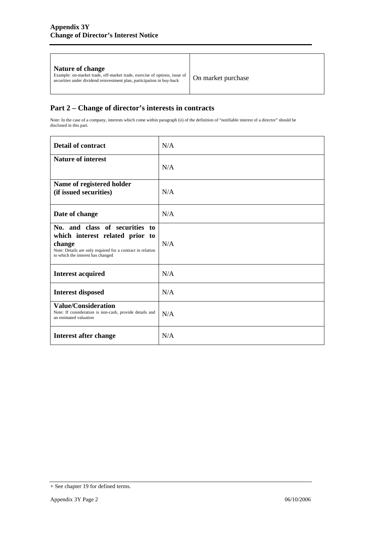### **Part 2 – Change of director's interests in contracts**

Note: In the case of a company, interests which come within paragraph (ii) of the definition of "notifiable interest of a director" should be disclosed in this part.

| <b>Detail of contract</b>                                                                                                                                                      | N/A |
|--------------------------------------------------------------------------------------------------------------------------------------------------------------------------------|-----|
| <b>Nature of interest</b>                                                                                                                                                      | N/A |
| Name of registered holder<br>(if issued securities)                                                                                                                            | N/A |
| Date of change                                                                                                                                                                 | N/A |
| No. and class of securities to<br>which interest related prior to<br>change<br>Note: Details are only required for a contract in relation<br>to which the interest has changed | N/A |
| <b>Interest acquired</b>                                                                                                                                                       | N/A |
| <b>Interest disposed</b>                                                                                                                                                       | N/A |
| <b>Value/Consideration</b><br>Note: If consideration is non-cash, provide details and<br>an estimated valuation                                                                | N/A |
| Interest after change                                                                                                                                                          | N/A |

<sup>+</sup> See chapter 19 for defined terms.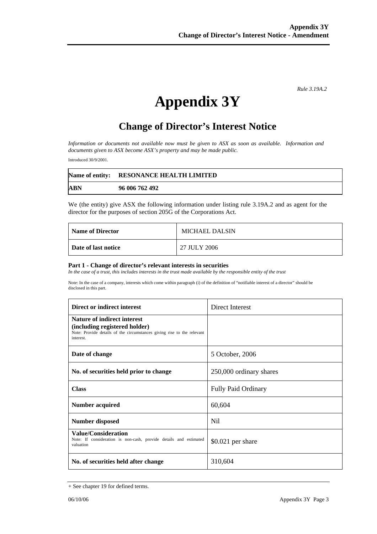*Rule 3.19A.2*

# **Appendix 3Y**

## **Change of Director's Interest Notice**

*Information or documents not available now must be given to ASX as soon as available. Information and documents given to ASX become ASX's property and may be made public.* 

Introduced 30/9/2001.

|            | Name of entity: RESONANCE HEALTH LIMITED |
|------------|------------------------------------------|
| <b>ABN</b> | 96 006 762 492                           |

We (the entity) give ASX the following information under listing rule 3.19A.2 and as agent for the director for the purposes of section 205G of the Corporations Act.

| <b>Name of Director</b> | <b>MICHAEL DALSIN</b> |
|-------------------------|-----------------------|
| Date of last notice     | 27 JULY 2006          |

#### **Part 1 - Change of director's relevant interests in securities**

In the case of a trust, this includes interests in the trust made available by the responsible entity of the trust

Note: In the case of a company, interests which come within paragraph (i) of the definition of "notifiable interest of a director" should be disclosed in this part.

| Direct or indirect interest                                                                                                                                | Direct Interest            |
|------------------------------------------------------------------------------------------------------------------------------------------------------------|----------------------------|
| <b>Nature of indirect interest</b><br>(including registered holder)<br>Note: Provide details of the circumstances giving rise to the relevant<br>interest. |                            |
| Date of change                                                                                                                                             | 5 October, 2006            |
| No. of securities held prior to change                                                                                                                     | 250,000 ordinary shares    |
| <b>Class</b>                                                                                                                                               | <b>Fully Paid Ordinary</b> |
| Number acquired                                                                                                                                            | 60,604                     |
| <b>Number disposed</b>                                                                                                                                     | N <sub>i</sub>             |
| <b>Value/Consideration</b><br>Note: If consideration is non-cash, provide details and estimated<br>valuation                                               | $$0.021$ per share         |
| No. of securities held after change                                                                                                                        | 310,604                    |

<sup>+</sup> See chapter 19 for defined terms.